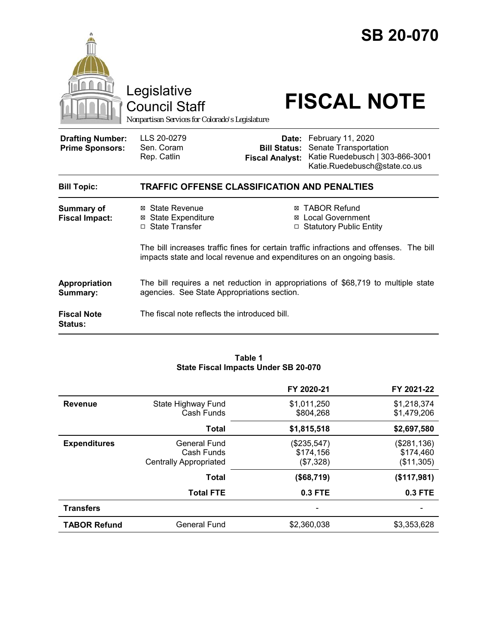|                                                   | Legislative<br><b>Council Staff</b><br>Nonpartisan Services for Colorado's Legislature                                                                           |                                               | <b>SB 20-070</b><br><b>FISCAL NOTE</b>                                                                              |
|---------------------------------------------------|------------------------------------------------------------------------------------------------------------------------------------------------------------------|-----------------------------------------------|---------------------------------------------------------------------------------------------------------------------|
| <b>Drafting Number:</b><br><b>Prime Sponsors:</b> | LLS 20-0279<br>Sen. Coram<br>Rep. Catlin                                                                                                                         | <b>Bill Status:</b><br><b>Fiscal Analyst:</b> | Date: February 11, 2020<br>Senate Transportation<br>Katie Ruedebusch   303-866-3001<br>Katie.Ruedebusch@state.co.us |
| <b>Bill Topic:</b>                                | TRAFFIC OFFENSE CLASSIFICATION AND PENALTIES                                                                                                                     |                                               |                                                                                                                     |
| <b>Summary of</b><br><b>Fiscal Impact:</b>        | ⊠ State Revenue<br><b>⊠ State Expenditure</b><br>□ State Transfer                                                                                                | ⊠<br>⊠                                        | <b>TABOR Refund</b><br><b>Local Government</b><br>□ Statutory Public Entity                                         |
|                                                   | The bill increases traffic fines for certain traffic infractions and offenses. The bill<br>impacts state and local revenue and expenditures on an ongoing basis. |                                               |                                                                                                                     |
| Appropriation<br>Summary:                         | The bill requires a net reduction in appropriations of \$68,719 to multiple state<br>agencies. See State Appropriations section.                                 |                                               |                                                                                                                     |
| <b>Fiscal Note</b><br>Status:                     | The fiscal note reflects the introduced bill.                                                                                                                    |                                               |                                                                                                                     |

#### **Table 1 State Fiscal Impacts Under SB 20-070**

|                     |                                                                    | FY 2020-21                            | FY 2021-22                             |
|---------------------|--------------------------------------------------------------------|---------------------------------------|----------------------------------------|
| <b>Revenue</b>      | State Highway Fund<br>Cash Funds                                   | \$1,011,250<br>\$804.268              | \$1,218,374<br>\$1,479,206             |
|                     | <b>Total</b>                                                       | \$1,815,518                           | \$2,697,580                            |
| <b>Expenditures</b> | <b>General Fund</b><br>Cash Funds<br><b>Centrally Appropriated</b> | (\$235,547)<br>\$174,156<br>(\$7,328) | (\$281,136)<br>\$174,460<br>(\$11,305) |
|                     | <b>Total</b>                                                       | (\$68,719)                            | (\$117,981)                            |
|                     | <b>Total FTE</b>                                                   | 0.3 FTE                               | 0.3 FTE                                |
| <b>Transfers</b>    |                                                                    |                                       |                                        |
| <b>TABOR Refund</b> | <b>General Fund</b>                                                | \$2,360,038                           | \$3,353,628                            |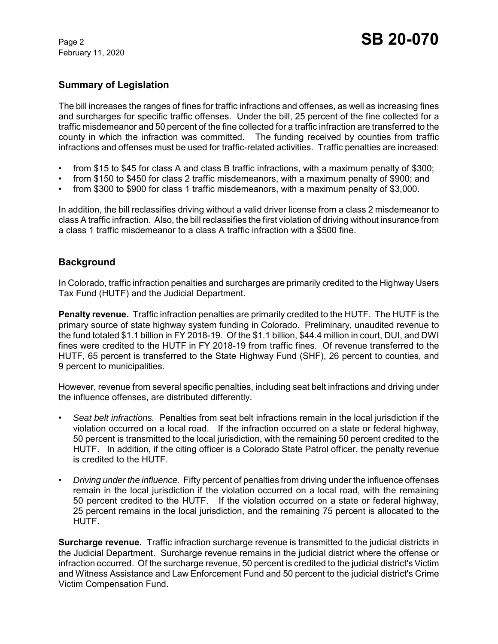## **Summary of Legislation**

The bill increases the ranges of fines for traffic infractions and offenses, as well as increasing fines and surcharges for specific traffic offenses. Under the bill, 25 percent of the fine collected for a traffic misdemeanor and 50 percent of the fine collected for a traffic infraction are transferred to the county in which the infraction was committed. The funding received by counties from traffic infractions and offenses must be used for traffic-related activities. Traffic penalties are increased:

- from \$15 to \$45 for class A and class B traffic infractions, with a maximum penalty of \$300;
- from \$150 to \$450 for class 2 traffic misdemeanors, with a maximum penalty of \$900; and
- from \$300 to \$900 for class 1 traffic misdemeanors, with a maximum penalty of \$3,000.

In addition, the bill reclassifies driving without a valid driver license from a class 2 misdemeanor to class A traffic infraction. Also, the bill reclassifies the first violation of driving without insurance from a class 1 traffic misdemeanor to a class A traffic infraction with a \$500 fine.

## **Background**

In Colorado, traffic infraction penalties and surcharges are primarily credited to the Highway Users Tax Fund (HUTF) and the Judicial Department.

**Penalty revenue.** Traffic infraction penalties are primarily credited to the HUTF. The HUTF is the primary source of state highway system funding in Colorado. Preliminary, unaudited revenue to the fund totaled \$1.1 billion in FY 2018-19. Of the \$1.1 billion, \$44.4 million in court, DUI, and DWI fines were credited to the HUTF in FY 2018-19 from traffic fines. Of revenue transferred to the HUTF, 65 percent is transferred to the State Highway Fund (SHF), 26 percent to counties, and 9 percent to municipalities.

However, revenue from several specific penalties, including seat belt infractions and driving under the influence offenses, are distributed differently.

- *Seat belt infractions.* Penalties from seat belt infractions remain in the local jurisdiction if the violation occurred on a local road. If the infraction occurred on a state or federal highway, 50 percent is transmitted to the local jurisdiction, with the remaining 50 percent credited to the HUTF. In addition, if the citing officer is a Colorado State Patrol officer, the penalty revenue is credited to the HUTF.
- *Driving under the influence.* Fifty percent of penalties from driving under the influence offenses remain in the local jurisdiction if the violation occurred on a local road, with the remaining 50 percent credited to the HUTF. If the violation occurred on a state or federal highway, 25 percent remains in the local jurisdiction, and the remaining 75 percent is allocated to the HUTF.

**Surcharge revenue.** Traffic infraction surcharge revenue is transmitted to the judicial districts in the Judicial Department. Surcharge revenue remains in the judicial district where the offense or infraction occurred. Of the surcharge revenue, 50 percent is credited to the judicial district's Victim and Witness Assistance and Law Enforcement Fund and 50 percent to the judicial district's Crime Victim Compensation Fund.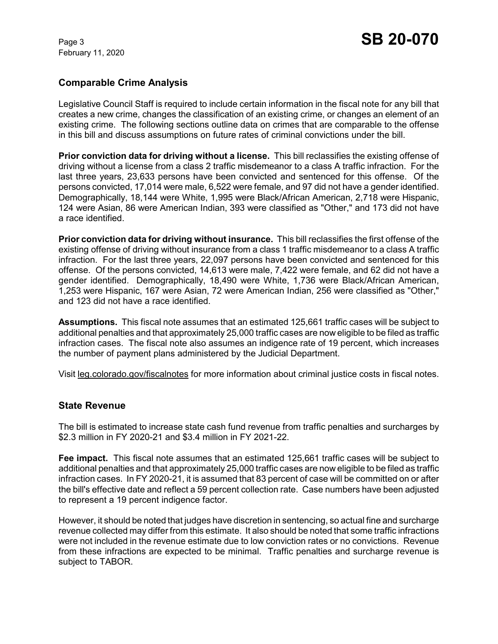# **Comparable Crime Analysis**

Legislative Council Staff is required to include certain information in the fiscal note for any bill that creates a new crime, changes the classification of an existing crime, or changes an element of an existing crime. The following sections outline data on crimes that are comparable to the offense in this bill and discuss assumptions on future rates of criminal convictions under the bill.

**Prior conviction data for driving without a license.** This bill reclassifies the existing offense of driving without a license from a class 2 traffic misdemeanor to a class A traffic infraction. For the last three years, 23,633 persons have been convicted and sentenced for this offense. Of the persons convicted, 17,014 were male, 6,522 were female, and 97 did not have a gender identified. Demographically, 18,144 were White, 1,995 were Black/African American, 2,718 were Hispanic, 124 were Asian, 86 were American Indian, 393 were classified as "Other," and 173 did not have a race identified.

**Prior conviction data for driving without insurance.** This bill reclassifies the first offense of the existing offense of driving without insurance from a class 1 traffic misdemeanor to a class A traffic infraction. For the last three years, 22,097 persons have been convicted and sentenced for this offense. Of the persons convicted, 14,613 were male, 7,422 were female, and 62 did not have a gender identified. Demographically, 18,490 were White, 1,736 were Black/African American, 1,253 were Hispanic, 167 were Asian, 72 were American Indian, 256 were classified as "Other," and 123 did not have a race identified.

**Assumptions.** This fiscal note assumes that an estimated 125,661 traffic cases will be subject to additional penalties and that approximately 25,000 traffic cases are now eligible to be filed as traffic infraction cases. The fiscal note also assumes an indigence rate of 19 percent, which increases the number of payment plans administered by the Judicial Department.

Visit leg.colorado.gov/fiscalnotes for more information about criminal justice costs in fiscal notes.

#### **State Revenue**

The bill is estimated to increase state cash fund revenue from traffic penalties and surcharges by \$2.3 million in FY 2020-21 and \$3.4 million in FY 2021-22.

**Fee impact.** This fiscal note assumes that an estimated 125,661 traffic cases will be subject to additional penalties and that approximately 25,000 traffic cases are now eligible to be filed as traffic infraction cases. In FY 2020-21, it is assumed that 83 percent of case will be committed on or after the bill's effective date and reflect a 59 percent collection rate. Case numbers have been adjusted to represent a 19 percent indigence factor.

However, it should be noted that judges have discretion in sentencing, so actual fine and surcharge revenue collected may differ from this estimate. It also should be noted that some traffic infractions were not included in the revenue estimate due to low conviction rates or no convictions. Revenue from these infractions are expected to be minimal. Traffic penalties and surcharge revenue is subject to TABOR.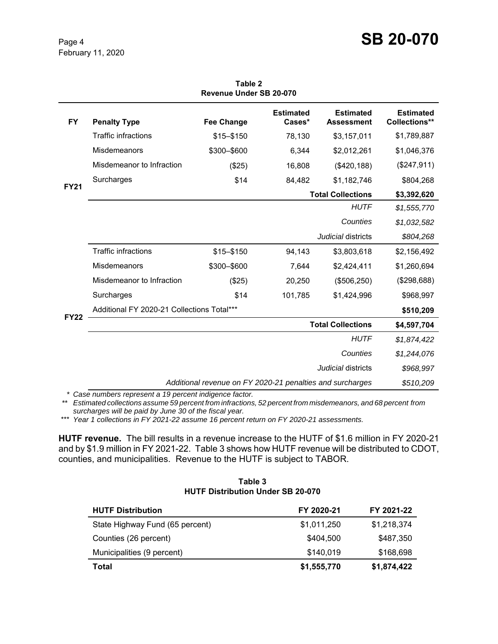# **Page 4 SB 20-070**

| Revenue Under SB 20-070 |                                                           |                   |                            |                                       |                                   |
|-------------------------|-----------------------------------------------------------|-------------------|----------------------------|---------------------------------------|-----------------------------------|
| <b>FY</b>               | <b>Penalty Type</b>                                       | <b>Fee Change</b> | <b>Estimated</b><br>Cases* | <b>Estimated</b><br><b>Assessment</b> | <b>Estimated</b><br>Collections** |
| <b>FY21</b>             | <b>Traffic infractions</b>                                | \$15-\$150        | 78,130                     | \$3,157,011                           | \$1,789,887                       |
|                         | Misdemeanors                                              | \$300-\$600       | 6,344                      | \$2,012,261                           | \$1,046,376                       |
|                         | Misdemeanor to Infraction                                 | (\$25)            | 16,808                     | (\$420, 188)                          | (\$247,911)                       |
|                         | Surcharges                                                | \$14              | 84,482                     | \$1,182,746                           | \$804,268                         |
|                         | <b>Total Collections</b>                                  |                   |                            |                                       | \$3,392,620                       |
|                         |                                                           |                   |                            | <b>HUTF</b>                           | \$1,555,770                       |
|                         |                                                           |                   |                            | Counties                              | \$1,032,582                       |
|                         |                                                           |                   |                            | Judicial districts                    | \$804,268                         |
| <b>FY22</b>             | <b>Traffic infractions</b>                                | \$15-\$150        | 94,143                     | \$3,803,618                           | \$2,156,492                       |
|                         | Misdemeanors                                              | \$300-\$600       | 7,644                      | \$2,424,411                           | \$1,260,694                       |
|                         | Misdemeanor to Infraction                                 | (\$25)            | 20,250                     | (\$506, 250)                          | (\$298,688)                       |
|                         | Surcharges                                                | \$14              | 101,785                    | \$1,424,996                           | \$968,997                         |
|                         | Additional FY 2020-21 Collections Total***                |                   |                            |                                       | \$510,209                         |
|                         | <b>Total Collections</b>                                  |                   |                            |                                       | \$4,597,704                       |
|                         |                                                           |                   |                            | <b>HUTF</b>                           | \$1,874,422                       |
|                         |                                                           |                   |                            | Counties                              | \$1,244,076                       |
|                         | <i>Judicial</i> districts                                 |                   |                            |                                       | \$968,997                         |
|                         | Additional revenue on FY 2020-21 penalties and surcharges |                   |                            | \$510,209                             |                                   |

**Table 2**

*\* Case numbers represent a 19 percent indigence factor.*

*\*\* Estimated collections assume 59 percent from infractions, 52 percent from misdemeanors, and 68 percent from surcharges will be paid by June 30 of the fiscal year.* 

\*\*\* *Year 1 collections in FY 2021-22 assume 16 percent return on FY 2020-21 assessments.*

**HUTF revenue.** The bill results in a revenue increase to the HUTF of \$1.6 million in FY 2020-21 and by \$1.9 million in FY 2021-22. Table 3 shows how HUTF revenue will be distributed to CDOT, counties, and municipalities. Revenue to the HUTF is subject to TABOR.

#### **Table 3 HUTF Distribution Under SB 20-070**

| <b>HUTF Distribution</b>        | FY 2020-21  | FY 2021-22  |
|---------------------------------|-------------|-------------|
| State Highway Fund (65 percent) | \$1,011,250 | \$1,218,374 |
| Counties (26 percent)           | \$404.500   | \$487,350   |
| Municipalities (9 percent)      | \$140,019   | \$168,698   |
| Total                           | \$1,555,770 | \$1,874,422 |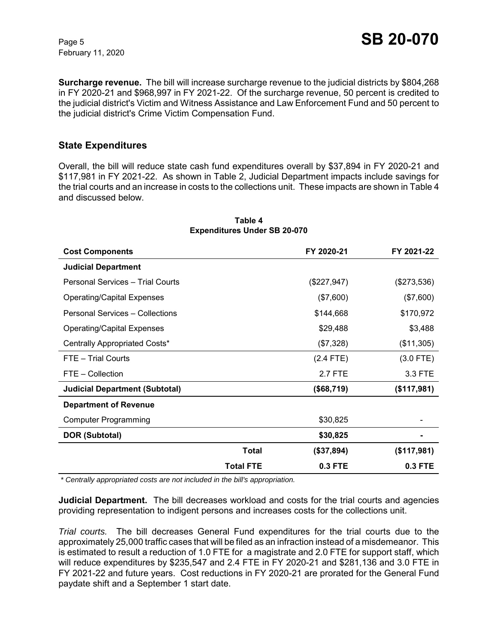**Surcharge revenue.** The bill will increase surcharge revenue to the judicial districts by \$804,268 in FY 2020-21 and \$968,997 in FY 2021-22. Of the surcharge revenue, 50 percent is credited to the judicial district's Victim and Witness Assistance and Law Enforcement Fund and 50 percent to the judicial district's Crime Victim Compensation Fund.

### **State Expenditures**

Overall, the bill will reduce state cash fund expenditures overall by \$37,894 in FY 2020-21 and \$117,981 in FY 2021-22. As shown in Table 2, Judicial Department impacts include savings for the trial courts and an increase in costs to the collections unit. These impacts are shown in Table 4 and discussed below.

| <b>Cost Components</b>                |                  | FY 2020-21    | FY 2021-22  |
|---------------------------------------|------------------|---------------|-------------|
| <b>Judicial Department</b>            |                  |               |             |
| Personal Services - Trial Courts      |                  | $(\$227,947)$ | (\$273,536) |
| <b>Operating/Capital Expenses</b>     |                  | $(\$7,600)$   | (\$7,600)   |
| Personal Services - Collections       |                  | \$144,668     | \$170,972   |
| <b>Operating/Capital Expenses</b>     |                  | \$29,488      | \$3,488     |
| Centrally Appropriated Costs*         |                  | (\$7,328)     | (\$11,305)  |
| FTE - Trial Courts                    |                  | $(2.4$ FTE)   | $(3.0$ FTE) |
| FTE - Collection                      |                  | 2.7 FTE       | 3.3 FTE     |
| <b>Judicial Department (Subtotal)</b> |                  | (\$68,719)    | (\$117,981) |
| <b>Department of Revenue</b>          |                  |               |             |
| <b>Computer Programming</b>           |                  | \$30,825      |             |
| <b>DOR (Subtotal)</b>                 |                  | \$30,825      |             |
|                                       | Total            | (\$37,894)    | (\$117,981) |
|                                       | <b>Total FTE</b> | 0.3 FTE       | 0.3 FTE     |

#### **Table 4 Expenditures Under SB 20-070**

 *\* Centrally appropriated costs are not included in the bill's appropriation.*

**Judicial Department.** The bill decreases workload and costs for the trial courts and agencies providing representation to indigent persons and increases costs for the collections unit.

*Trial courts.* The bill decreases General Fund expenditures for the trial courts due to the approximately 25,000 traffic cases that will be filed as an infraction instead of a misdemeanor. This is estimated to result a reduction of 1.0 FTE for a magistrate and 2.0 FTE for support staff, which will reduce expenditures by \$235,547 and 2.4 FTE in FY 2020-21 and \$281,136 and 3.0 FTE in FY 2021-22 and future years. Cost reductions in FY 2020-21 are prorated for the General Fund paydate shift and a September 1 start date.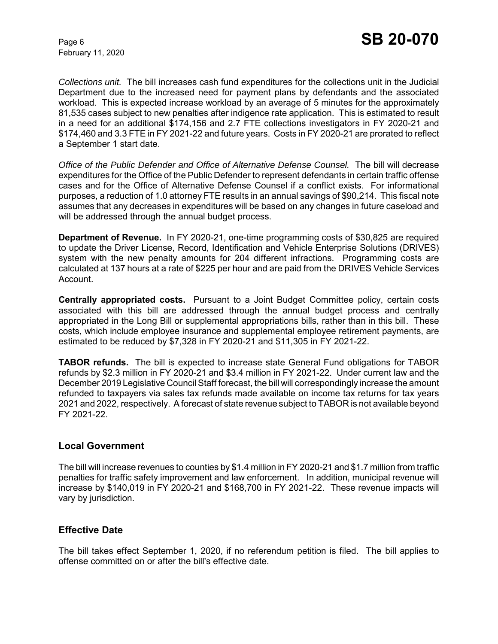*Collections unit.* The bill increases cash fund expenditures for the collections unit in the Judicial Department due to the increased need for payment plans by defendants and the associated workload. This is expected increase workload by an average of 5 minutes for the approximately 81,535 cases subject to new penalties after indigence rate application. This is estimated to result in a need for an additional \$174,156 and 2.7 FTE collections investigators in FY 2020-21 and \$174,460 and 3.3 FTE in FY 2021-22 and future years. Costs in FY 2020-21 are prorated to reflect a September 1 start date.

*Office of the Public Defender and Office of Alternative Defense Counsel.* The bill will decrease expenditures for the Office of the Public Defender to represent defendants in certain traffic offense cases and for the Office of Alternative Defense Counsel if a conflict exists. For informational purposes, a reduction of 1.0 attorney FTE results in an annual savings of \$90,214. This fiscal note assumes that any decreases in expenditures will be based on any changes in future caseload and will be addressed through the annual budget process.

**Department of Revenue.** In FY 2020-21, one-time programming costs of \$30,825 are required to update the Driver License, Record, Identification and Vehicle Enterprise Solutions (DRIVES) system with the new penalty amounts for 204 different infractions. Programming costs are calculated at 137 hours at a rate of \$225 per hour and are paid from the DRIVES Vehicle Services Account.

**Centrally appropriated costs.** Pursuant to a Joint Budget Committee policy, certain costs associated with this bill are addressed through the annual budget process and centrally appropriated in the Long Bill or supplemental appropriations bills, rather than in this bill. These costs, which include employee insurance and supplemental employee retirement payments, are estimated to be reduced by \$7,328 in FY 2020-21 and \$11,305 in FY 2021-22.

**TABOR refunds.** The bill is expected to increase state General Fund obligations for TABOR refunds by \$2.3 million in FY 2020-21 and \$3.4 million in FY 2021-22. Under current law and the December 2019 Legislative Council Staff forecast, the bill will correspondingly increase the amount refunded to taxpayers via sales tax refunds made available on income tax returns for tax years 2021 and 2022, respectively. A forecast of state revenue subject to TABOR is not available beyond FY 2021-22.

#### **Local Government**

The bill will increase revenues to counties by \$1.4 million in FY 2020-21 and \$1.7 million from traffic penalties for traffic safety improvement and law enforcement. In addition, municipal revenue will increase by \$140,019 in FY 2020-21 and \$168,700 in FY 2021-22. These revenue impacts will vary by jurisdiction.

# **Effective Date**

The bill takes effect September 1, 2020, if no referendum petition is filed. The bill applies to offense committed on or after the bill's effective date.